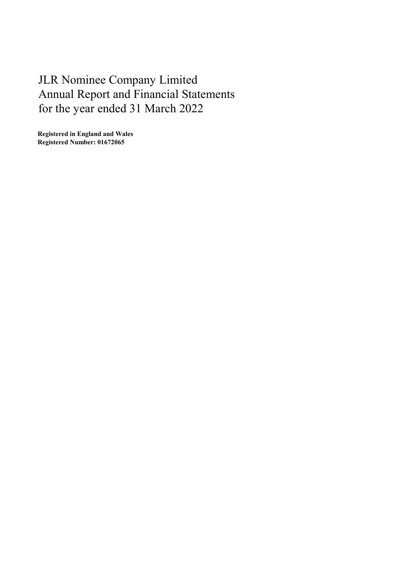# JLR Nominee Company Limited Annual Report and Financial Statements for the year ended 31 March 2022

Registered in England and Wales Registered Number: 01672065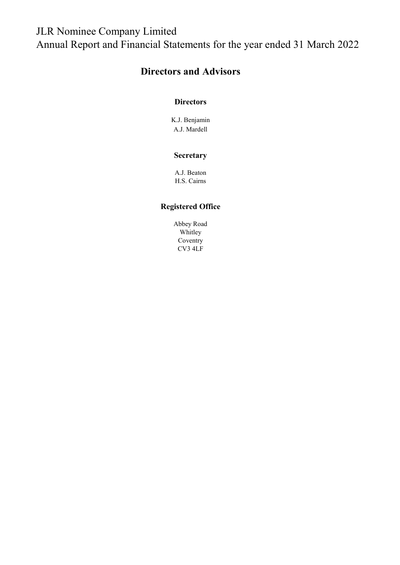# JLR Nominee Company Limited Annual Report and Financial Statements for the year ended 31 March 2022

### Directors and Advisors

#### **Directors**

K.J. Benjamin A.J. Mardell

#### **Secretary**

A.J. Beaton H.S. Cairns

### Registered Office

Abbey Road Whitley Coventry CV3 4LF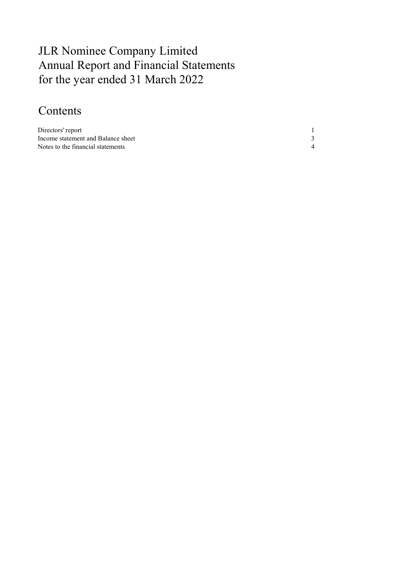# JLR Nominee Company Limited Annual Report and Financial Statements for the year ended 31 March 2022

# Contents

| Directors' report                  |  |
|------------------------------------|--|
| Income statement and Balance sheet |  |
| Notes to the financial statements  |  |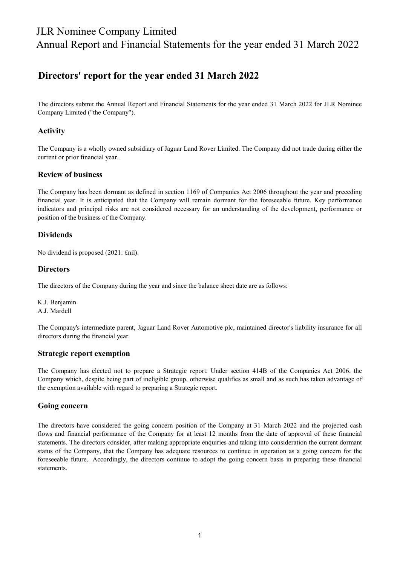### JLR Nominee Company Limited Annual Report and Financial Statements for the year ended 31 March 2022

### Directors' report for the year ended 31 March 2022

The directors submit the Annual Report and Financial Statements for the year ended 31 March 2022 for JLR Nominee Company Limited ("the Company").

#### Activity

The Company is a wholly owned subsidiary of Jaguar Land Rover Limited. The Company did not trade during either the current or prior financial year.

#### Review of business

The Company has been dormant as defined in section 1169 of Companies Act 2006 throughout the year and preceding financial year. It is anticipated that the Company will remain dormant for the foreseeable future. Key performance indicators and principal risks are not considered necessary for an understanding of the development, performance or position of the business of the Company.

#### Dividends

No dividend is proposed (2021: £nil).

#### **Directors**

The directors of the Company during the year and since the balance sheet date are as follows:

K.J. Benjamin A.J. Mardell

The Company's intermediate parent, Jaguar Land Rover Automotive plc, maintained director's liability insurance for all directors during the financial year.

#### Strategic report exemption

The Company has elected not to prepare a Strategic report. Under section 414B of the Companies Act 2006, the Company which, despite being part of ineligible group, otherwise qualifies as small and as such has taken advantage of the exemption available with regard to preparing a Strategic report.

#### Going concern

The directors have considered the going concern position of the Company at 31 March 2022 and the projected cash flows and financial performance of the Company for at least 12 months from the date of approval of these financial statements. The directors consider, after making appropriate enquiries and taking into consideration the current dormant status of the Company, that the Company has adequate resources to continue in operation as a going concern for the foreseeable future. Accordingly, the directors continue to adopt the going concern basis in preparing these financial statements.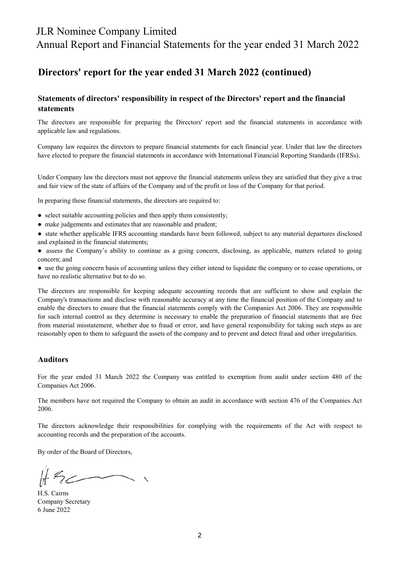### JLR Nominee Company Limited

Annual Report and Financial Statements for the year ended 31 March 2022

### Directors' report for the year ended 31 March 2022 (continued)

#### Statements of directors' responsibility in respect of the Directors' report and the financial statements

The directors are responsible for preparing the Directors' report and the financial statements in accordance with applicable law and regulations.

Company law requires the directors to prepare financial statements for each financial year. Under that law the directors have elected to prepare the financial statements in accordance with International Financial Reporting Standards (IFRSs).

Under Company law the directors must not approve the financial statements unless they are satisfied that they give a true and fair view of the state of affairs of the Company and of the profit or loss of the Company for that period.

In preparing these financial statements, the directors are required to:

- select suitable accounting policies and then apply them consistently;
- make judgements and estimates that are reasonable and prudent;
- state whether applicable IFRS accounting standards have been followed, subject to any material departures disclosed and explained in the financial statements;
- assess the Company's ability to continue as a going concern, disclosing, as applicable, matters related to going concern; and
- use the going concern basis of accounting unless they either intend to liquidate the company or to cease operations, or have no realistic alternative but to do so.

The directors are responsible for keeping adequate accounting records that are sufficient to show and explain the Company's transactions and disclose with reasonable accuracy at any time the financial position of the Company and to enable the directors to ensure that the financial statements comply with the Companies Act 2006. They are responsible for such internal control as they determine is necessary to enable the preparation of financial statements that are free from material misstatement, whether due to fraud or error, and have general responsibility for taking such steps as are reasonably open to them to safeguard the assets of the company and to prevent and detect fraud and other irregularities.

#### Auditors

For the year ended 31 March 2022 the Company was entitled to exemption from audit under section 480 of the Companies Act 2006.

The members have not required the Company to obtain an audit in accordance with section 476 of the Companies Act 2006.

The directors acknowledge their responsibilities for complying with the requirements of the Act with respect to accounting records and the preparation of the accounts.

By order of the Board of Directors,

6 June 2022 Company Secretary H.S. Cairns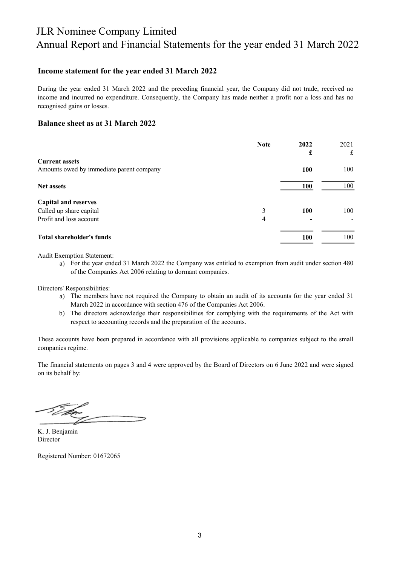## JLR Nominee Company Limited Annual Report and Financial Statements for the year ended 31 March 2022

#### Income statement for the year ended 31 March 2022

During the year ended 31 March 2022 and the preceding financial year, the Company did not trade, received no income and incurred no expenditure. Consequently, the Company has made neither a profit nor a loss and has no recognised gains or losses.

#### Balance sheet as at 31 March 2022

|                                          | <b>Note</b> | 2022       | 2021 |
|------------------------------------------|-------------|------------|------|
|                                          |             | £          | £    |
| <b>Current assets</b>                    |             |            |      |
| Amounts owed by immediate parent company |             | 100        | 100  |
| <b>Net assets</b>                        |             | <b>100</b> | 100  |
| <b>Capital and reserves</b>              |             |            |      |
| Called up share capital                  | 3           | 100        | 100  |
| Profit and loss account                  | 4           |            |      |
| <b>Total shareholder's funds</b>         |             | 100        | 100  |

Audit Exemption Statement:

a) For the year ended 31 March 2022 the Company was entitled to exemption from audit under section 480 of the Companies Act 2006 relating to dormant companies.

Directors' Responsibilities:

- a) The members have not required the Company to obtain an audit of its accounts for the year ended 31 March 2022 in accordance with section 476 of the Companies Act 2006.
- b) The directors acknowledge their responsibilities for complying with the requirements of the Act with respect to accounting records and the preparation of the accounts.

These accounts have been prepared in accordance with all provisions applicable to companies subject to the small companies regime.

The financial statements on pages 3 and 4 were approved by the Board of Directors on 6 June 2022 and were signed on its behalf by:

Director K. J. Benjamin

Registered Number: 01672065